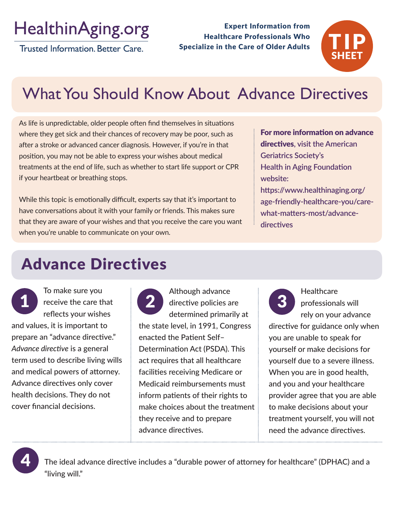# HealthinAging.org

Trusted Information, Better Care.

Expert Information from Healthcare Professionals Who Specialize in the Care of Older Adults



# What You Should Know About Advance Directives

As life is unpredictable, older people often find themselves in situations where they get sick and their chances of recovery may be poor, such as after a stroke or advanced cancer diagnosis. However, if you're in that position, you may not be able to express your wishes about medical treatments at the end of life, such as whether to start life support or CPR if your heartbeat or breathing stops.

While this topic is emotionally difficult, experts say that it's important to have conversations about it with your family or friends. This makes sure that they are aware of your wishes and that you receive the care you want when you're unable to communicate on your own.

### For more information on advance directives**, visit the American Geriatrics Society's Health in Aging Foundation website: https://www.healthinaging.org/ age-friendly-healthcare-you/carewhat-matters-most/advancedirectives**

## Advance Directives

To make sure you receive the care that reflects your wishes and values, it is important to prepare an "advance directive." *Advance directive* is a general term used to describe living wills and medical powers of attorney. Advance directives only cover health decisions. They do not cover financial decisions.

Although advance 1 receive the care that 2 directive policies are 3 determined primarily at the state level, in 1991, Congress enacted the Patient Self– Determination Act (PSDA). This act requires that all healthcare facilities receiving Medicare or Medicaid reimbursements must inform patients of their rights to make choices about the treatment they receive and to prepare advance directives.

**Healthcare** professionals will rely on your advance

directive for guidance only when you are unable to speak for yourself or make decisions for yourself due to a severe illness. When you are in good health, and you and your healthcare provider agree that you are able to make decisions about your treatment yourself, you will not need the advance directives.

4

The ideal advance directive includes a "durable power of attorney for healthcare" (DPHAC) and a "living will."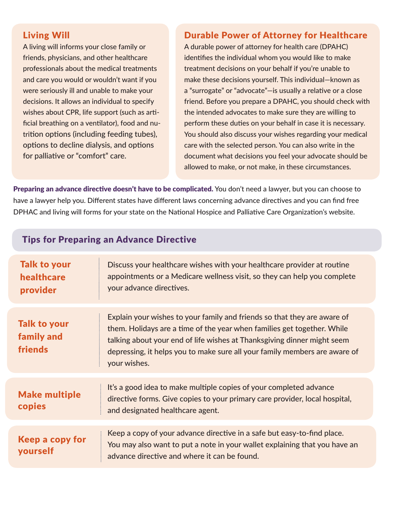### Living Will

A living will informs your close family or friends, physicians, and other healthcare professionals about the medical treatments and care you would or wouldn't want if you were seriously ill and unable to make your decisions. It allows an individual to specify wishes about CPR, life support (such as artificial breathing on a ventilator), food and nutrition options (including feeding tubes), options to decline dialysis, and options for palliative or "comfort" care.

#### Durable Power of Attorney for Healthcare

A durable power of attorney for health care (DPAHC) identifies the individual whom you would like to make treatment decisions on your behalf if you're unable to make these decisions yourself. This individual—known as a "surrogate" or "advocate"—is usually a relative or a close friend. Before you prepare a DPAHC, you should check with the intended advocates to make sure they are willing to perform these duties on your behalf in case it is necessary. You should also discuss your wishes regarding your medical care with the selected person. You can also write in the document what decisions you feel your advocate should be allowed to make, or not make, in these circumstances.

Preparing an advance directive doesn't have to be complicated. You don't need a lawyer, but you can choose to have a lawyer help you. Different states have different laws concerning advance directives and you can find free DPHAC and living will forms for your state on the National Hospice and Palliative Care Organization's website.

#### Tips for Preparing an Advance Directive

| <b>Talk to your</b><br>healthcare<br>provider | Discuss your healthcare wishes with your healthcare provider at routine<br>appointments or a Medicare wellness visit, so they can help you complete<br>your advance directives.                                                                                                                                              |
|-----------------------------------------------|------------------------------------------------------------------------------------------------------------------------------------------------------------------------------------------------------------------------------------------------------------------------------------------------------------------------------|
| <b>Talk to your</b><br>family and<br>friends  | Explain your wishes to your family and friends so that they are aware of<br>them. Holidays are a time of the year when families get together. While<br>talking about your end of life wishes at Thanksgiving dinner might seem<br>depressing, it helps you to make sure all your family members are aware of<br>your wishes. |
| <b>Make multiple</b><br>copies                | It's a good idea to make multiple copies of your completed advance<br>directive forms. Give copies to your primary care provider, local hospital,<br>and designated healthcare agent.                                                                                                                                        |
| Keep a copy for<br>yourself                   | Keep a copy of your advance directive in a safe but easy-to-find place.                                                                                                                                                                                                                                                      |
|                                               | You may also want to put a note in your wallet explaining that you have an<br>advance directive and where it can be found.                                                                                                                                                                                                   |